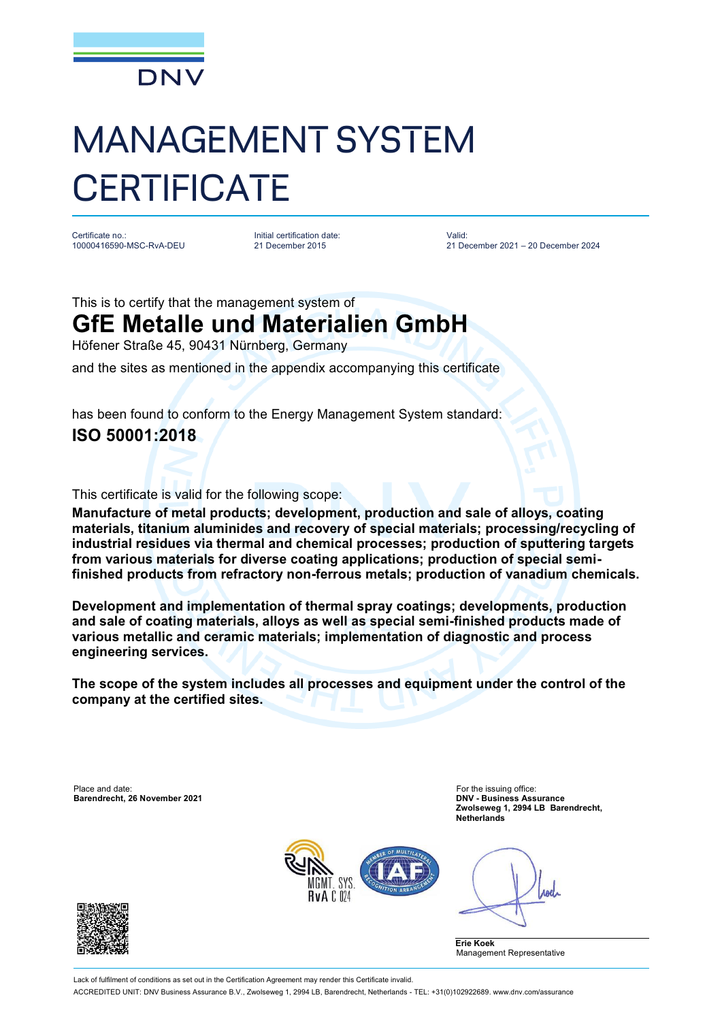

## MANAGEMENT SYSTEM **CERTIFICATE**

Certificate no.: 10000416590-MSC-RvA-DEU Initial certification date: 21 December 2015

Valid: 21 December 2021 – 20 December 2024

This is to certify that the management system of

## **GfE Metalle und Materialien GmbH**

Höfener Straße 45, 90431 Nürnberg, Germany

and the sites as mentioned in the appendix accompanying this certificate

has been found to conform to the Energy Management System standard: **ISO 50001:2018**

This certificate is valid for the following scope:

**Manufacture of metal products; development, production and sale of alloys, coating materials, titanium aluminides and recovery of special materials; processing/recycling of industrial residues via thermal and chemical processes; production of sputtering targets from various materials for diverse coating applications; production of special semifinished products from refractory non-ferrous metals; production of vanadium chemicals.**

**Development and implementation of thermal spray coatings; developments, production and sale of coating materials, alloys as well as special semi-finished products made of various metallic and ceramic materials; implementation of diagnostic and process engineering services.**

**The scope of the system includes all processes and equipment under the control of the company at the certified sites.**

Place and date: For the issuing office: For the issuing office: For the issuing office: **Barendrecht, 26 November 2021** 

**Zwolseweg 1, 2994 LB Barendrecht, Netherlands**



Anel

**Erie Koek** Management Representative